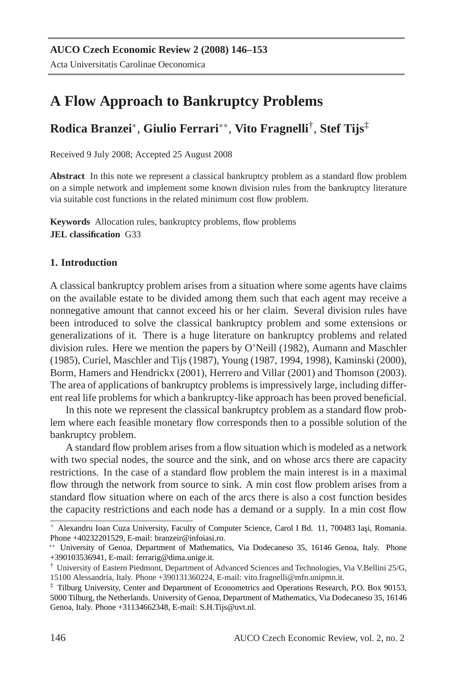# **A Flow Approach to Bankruptcy Problems**

## **Rodica Branzei**<sup>∗</sup> , **Giulio Ferrari**∗∗ , **Vito Fragnelli**† , **Stef Tijs**‡

Received 9 July 2008; Accepted 25 August 2008

**Abstract** In this note we represent a classical bankruptcy problem as a standard flow problem on a simple network and implement some known division rules from the bankruptcy literature via suitable cost functions in the related minimum cost flow problem.

**Keywords** Allocation rules, bankruptcy problems, flow problems **JEL classification** G33

### **1. Introduction**

A classical bankruptcy problem arises from a situation where some agents have claims on the available estate to be divided among them such that each agent may receive a nonnegative amount that cannot exceed his or her claim. Several division rules have been introduced to solve the classical bankruptcy problem and some extensions or generalizations of it. There is a huge literature on bankruptcy problems and related division rules. Here we mention the papers by O'Neill (1982), Aumann and Maschler (1985), Curiel, Maschler and Tijs (1987), Young (1987, 1994, 1998), Kaminski (2000), Borm, Hamers and Hendrickx (2001), Herrero and Villar (2001) and Thomson (2003). The area of applications of bankruptcy problems is impressively large, including different real life problems for which a bankruptcy-like approach has been proved beneficial.

In this note we represent the classical bankruptcy problem as a standard flow problem where each feasible monetary flow corresponds then to a possible solution of the bankruptcy problem.

A standard flow problem arises from a flow situation which is modeled as a network with two special nodes, the source and the sink, and on whose arcs there are capacity restrictions. In the case of a standard flow problem the main interest is in a maximal flow through the network from source to sink. A min cost flow problem arises from a standard flow situation where on each of the arcs there is also a cost function besides the capacity restrictions and each node has a demand or a supply. In a min cost flow

Alexandru Ioan Cuza University, Faculty of Computer Science, Carol I Bd. 11, 700483 Iași, Romania. Phone +40232201529, E-mail: branzeir@infoiasi.ro.

<sup>∗∗</sup> University of Genoa, Department of Mathematics, Via Dodecaneso 35, 16146 Genoa, Italy. Phone +390103536941, E-mail: ferrarig@dima.unige.it.

<sup>†</sup> University of Eastern Piedmont, Department of Advanced Sciences and Technologies, Via V.Bellini 25/G, 15100 Alessandria, Italy. Phone +390131360224, E-mail: vito.fragnelli@mfn.unipmn.it.

<sup>‡</sup> Tilburg University, Center and Department of Econometrics and Operations Research, P.O. Box 90153, 5000 Tilburg, the Netherlands. University of Genoa, Department of Mathematics, Via Dodecaneso 35, 16146 Genoa, Italy. Phone +31134662348, E-mail: S.H.Tijs@uvt.nl.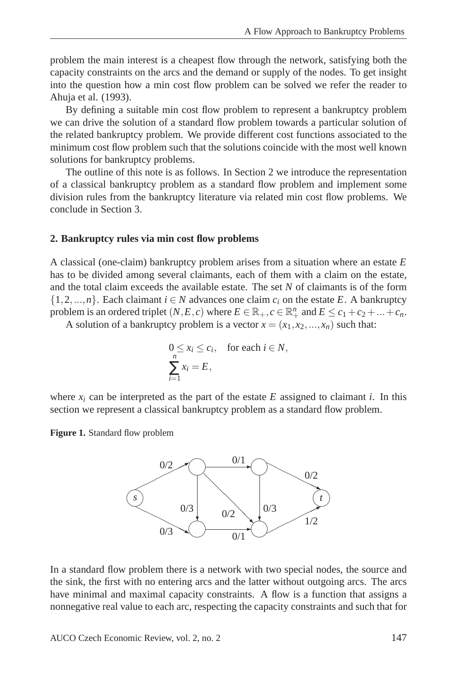problem the main interest is a cheapest flow through the network, satisfying both the capacity constraints on the arcs and the demand or supply of the nodes. To get insight into the question how a min cost flow problem can be solved we refer the reader to Ahuja et al. (1993).

By defining a suitable min cost flow problem to represent a bankruptcy problem we can drive the solution of a standard flow problem towards a particular solution of the related bankruptcy problem. We provide different cost functions associated to the minimum cost flow problem such that the solutions coincide with the most well known solutions for bankruptcy problems.

The outline of this note is as follows. In Section 2 we introduce the representation of a classical bankruptcy problem as a standard flow problem and implement some division rules from the bankruptcy literature via related min cost flow problems. We conclude in Section 3.

#### **2. Bankruptcy rules via min cost flow problems**

A classical (one-claim) bankruptcy problem arises from a situation where an estate *E* has to be divided among several claimants, each of them with a claim on the estate, and the total claim exceeds the available estate. The set *N* of claimants is of the form  $\{1, 2, \ldots, n\}$ . Each claimant  $i \in N$  advances one claim  $c_i$  on the estate E. A bankruptcy problem is an ordered triplet  $(N, E, c)$  where  $E \in \mathbb{R}_+$ ,  $c \in \mathbb{R}_+^n$  and  $E \le c_1 + c_2 + ... + c_n$ .

A solution of a bankruptcy problem is a vector  $x = (x_1, x_2, ..., x_n)$  such that:

$$
\begin{aligned} 0 &\le x_i \le c_i, \quad \text{for each } i \in N, \\ \sum_{i=1}^n x_i &= E, \end{aligned}
$$

where  $x_i$  can be interpreted as the part of the estate  $E$  assigned to claimant *i*. In this section we represent a classical bankruptcy problem as a standard flow problem.

**Figure 1.** Standard flow problem



In a standard flow problem there is a network with two special nodes, the source and the sink, the first with no entering arcs and the latter without outgoing arcs. The arcs have minimal and maximal capacity constraints. A flow is a function that assigns a nonnegative real value to each arc, respecting the capacity constraints and such that for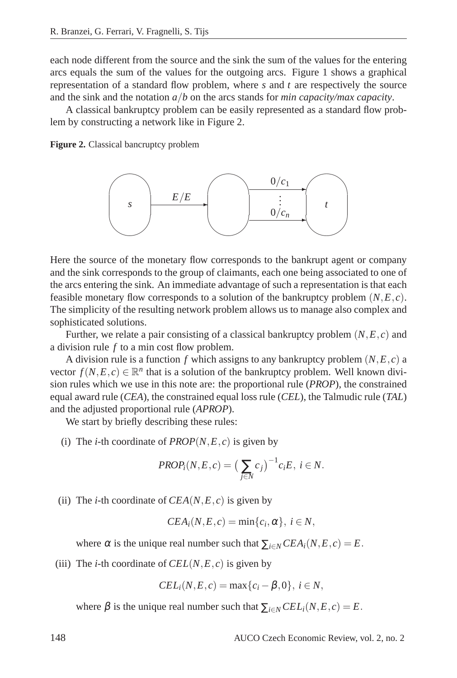each node different from the source and the sink the sum of the values for the entering arcs equals the sum of the values for the outgoing arcs. Figure 1 shows a graphical representation of a standard flow problem, where *s* and *t* are respectively the source and the sink and the notation *a*/*b* on the arcs stands for *min capacity/max capacity*.

A classical bankruptcy problem can be easily represented as a standard flow problem by constructing a network like in Figure 2.

**Figure 2.** Classical bancruptcy problem



Here the source of the monetary flow corresponds to the bankrupt agent or company and the sink corresponds to the group of claimants, each one being associated to one of the arcs entering the sink. An immediate advantage of such a representation is that each feasible monetary flow corresponds to a solution of the bankruptcy problem (*N*,*E*,*c*). The simplicity of the resulting network problem allows us to manage also complex and sophisticated solutions.

Further, we relate a pair consisting of a classical bankruptcy problem (*N*,*E*,*c*) and a division rule *f* to a min cost flow problem.

A division rule is a function *f* which assigns to any bankruptcy problem (*N*,*E*,*c*) a vector  $f(N, E, c) \in \mathbb{R}^n$  that is a solution of the bankruptcy problem. Well known division rules which we use in this note are: the proportional rule (*PROP*), the constrained equal award rule (*CEA*), the constrained equal loss rule (*CEL*), the Talmudic rule (*TAL*) and the adjusted proportional rule (*APROP*).

We start by briefly describing these rules:

(i) The *i*-th coordinate of  $PROP(N, E, c)$  is given by

$$
PROP_i(N, E, c) = \left(\sum_{j \in N} c_j\right)^{-1} c_i E, \ i \in N.
$$

(ii) The *i*-th coordinate of  $CEA(N, E, c)$  is given by

$$
CEA_i(N, E, c) = \min\{c_i, \alpha\}, i \in N,
$$

where  $\alpha$  is the unique real number such that  $\sum_{i \in N} CEA_i(N, E, c) = E$ .

(iii) The *i*-th coordinate of  $CEL(N, E, c)$  is given by

$$
CELi(N, E, c) = max{ci - \beta, 0}, i \in N,
$$

where  $\beta$  is the unique real number such that  $\sum_{i \in N} CEL_i(N, E, c) = E$ .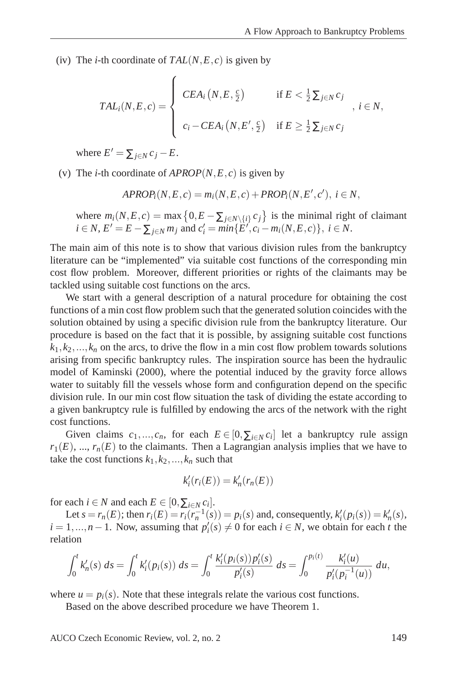(iv) The *i*-th coordinate of  $TAL(N, E, c)$  is given by

$$
TAL_i(N, E, c) = \begin{cases} CEA_i(N, E, \frac{c}{2}) & \text{if } E < \frac{1}{2} \sum_{j \in N} c_j \\ c_i - CEA_i(N, E', \frac{c}{2}) & \text{if } E \ge \frac{1}{2} \sum_{j \in N} c_j \end{cases}, i \in N,
$$

where  $E' = \sum_{j \in N} c_j - E$ .

(v) The *i*-th coordinate of  $APROP(N, E, c)$  is given by

$$
APROPi(N, E, c) = mi(N, E, c) + PROPi(N, E', c'), i \in N,
$$

where  $m_i(N, E, c) = \max\left\{0, E - \sum_{j \in N \setminus \{i\}} c_j\right\}$  is the minimal right of claimant  $i \in N$ ,  $E' = E - \sum_{j \in N} m_j$  and  $c'_i = min\{\overline{E'}, c_i - m_i(N, E, c)\}, i \in N$ .

The main aim of this note is to show that various division rules from the bankruptcy literature can be "implemented" via suitable cost functions of the corresponding min cost flow problem. Moreover, different priorities or rights of the claimants may be tackled using suitable cost functions on the arcs.

We start with a general description of a natural procedure for obtaining the cost functions of a min cost flow problem such that the generated solution coincides with the solution obtained by using a specific division rule from the bankruptcy literature. Our procedure is based on the fact that it is possible, by assigning suitable cost functions  $k_1, k_2, \ldots, k_n$  on the arcs, to drive the flow in a min cost flow problem towards solutions arising from specific bankruptcy rules. The inspiration source has been the hydraulic model of Kaminski (2000), where the potential induced by the gravity force allows water to suitably fill the vessels whose form and configuration depend on the specific division rule. In our min cost flow situation the task of dividing the estate according to a given bankruptcy rule is fulfilled by endowing the arcs of the network with the right cost functions.

Given claims  $c_1, ..., c_n$ , for each  $E \in [0, \sum_{i \in N} c_i]$  let a bankruptcy rule assign  $r_1(E)$ , ...,  $r_n(E)$  to the claimants. Then a Lagrangian analysis implies that we have to take the cost functions  $k_1, k_2, ..., k_n$  such that

$$
k_i'(r_i(E)) = k_n'(r_n(E))
$$

for each  $i \in N$  and each  $E \in [0, \sum_{i \in N} c_i]$ .

Let  $s = r_n(E)$ ; then  $r_i(E) = r_i(r_n^{-1}(s)) = p_i(s)$  and, consequently,  $k_i'(p_i(s)) = k_n'(s)$ , *i* = 1,...,*n* − 1. Now, assuming that  $p'_i(s) \neq 0$  for each *i* ∈ *N*, we obtain for each *t* the relation

$$
\int_0^t k'_n(s) \ ds = \int_0^t k'_i(p_i(s)) \ ds = \int_0^t \frac{k'_i(p_i(s))p'_i(s)}{p'_i(s)} \ ds = \int_0^{p_i(t)} \frac{k'_i(u)}{p'_i(p_i^{-1}(u))} \ du,
$$

where  $u = p_i(s)$ . Note that these integrals relate the various cost functions.

Based on the above described procedure we have Theorem 1.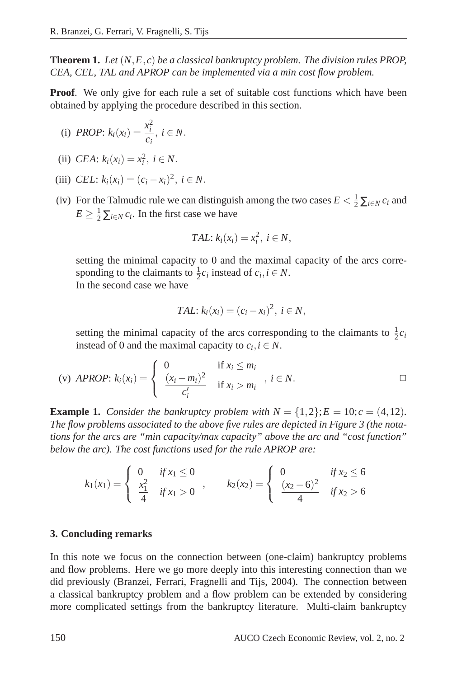**Theorem 1.** *Let* (*N*,*E*,*c*) *be a classical bankruptcy problem. The division rules PROP, CEA, CEL, TAL and APROP can be implemented via a min cost flow problem.*

**Proof.** We only give for each rule a set of suitable cost functions which have been obtained by applying the procedure described in this section.

(i) *PROP*: 
$$
k_i(x_i) = \frac{x_i^2}{c_i}, i \in N
$$
.

(ii) *CEA*: 
$$
k_i(x_i) = x_i^2, i \in N
$$
.

- (iii) *CEL*:  $k_i(x_i) = (c_i x_i)^2$ ,  $i \in N$ .
- (iv) For the Talmudic rule we can distinguish among the two cases  $E < \frac{1}{2} \sum_{i \in \mathbb{N}} c_i$  and  $E \geq \frac{1}{2} \sum_{i \in \mathbb{N}} c_i$ . In the first case we have

$$
TAL: k_i(x_i) = x_i^2, i \in N,
$$

setting the minimal capacity to 0 and the maximal capacity of the arcs corresponding to the claimants to  $\frac{1}{2}c_i$  instead of  $c_i$ ,  $i \in N$ . In the second case we have

$$
TAL: k_i(x_i) = (c_i - x_i)^2, i \in N,
$$

setting the minimal capacity of the arcs corresponding to the claimants to  $\frac{1}{2}c_i$ instead of 0 and the maximal capacity to  $c_i$ ,  $i \in N$ .

(v) *APROP*: 
$$
k_i(x_i) = \begin{cases} 0 & \text{if } x_i \leq m_i \\ \frac{(x_i - m_i)^2}{c'_i} & \text{if } x_i > m_i \end{cases}, i \in N.
$$

**Example 1.** *Consider the bankruptcy problem with*  $N = \{1, 2\}$ ;  $E = 10$ ;  $c = (4, 12)$ *. The flow problems associated to the above five rules are depicted in Figure 3 (the notations for the arcs are "min capacity/max capacity" above the arc and "cost function" below the arc). The cost functions used for the rule APROP are:*

$$
k_1(x_1) = \begin{cases} 0 & \text{if } x_1 \le 0 \\ \frac{x_1^2}{4} & \text{if } x_1 > 0 \end{cases}, \qquad k_2(x_2) = \begin{cases} 0 & \text{if } x_2 \le 6 \\ \frac{(x_2 - 6)^2}{4} & \text{if } x_2 > 6 \end{cases}
$$

#### **3. Concluding remarks**

In this note we focus on the connection between (one-claim) bankruptcy problems and flow problems. Here we go more deeply into this interesting connection than we did previously (Branzei, Ferrari, Fragnelli and Tijs, 2004). The connection between a classical bankruptcy problem and a flow problem can be extended by considering more complicated settings from the bankruptcy literature. Multi-claim bankruptcy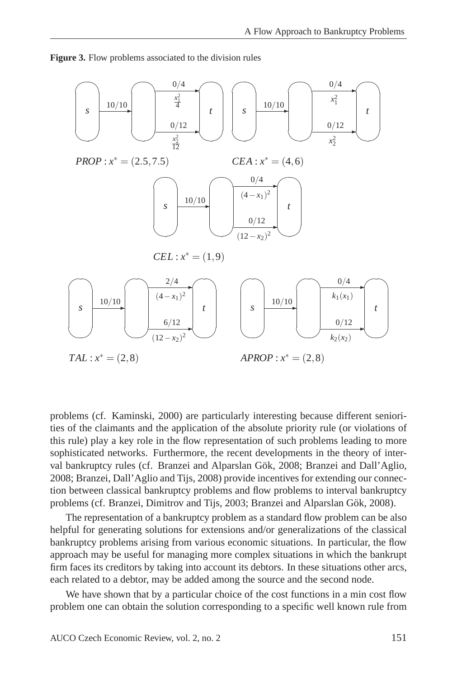**Figure 3.** Flow problems associated to the division rules



problems (cf. Kaminski, 2000) are particularly interesting because different seniorities of the claimants and the application of the absolute priority rule (or violations of this rule) play a key role in the flow representation of such problems leading to more sophisticated networks. Furthermore, the recent developments in the theory of interval bankruptcy rules (cf. Branzei and Alparslan Gök, 2008; Branzei and Dall'Aglio, 2008; Branzei, Dall'Aglio and Tijs, 2008) provide incentives for extending our connection between classical bankruptcy problems and flow problems to interval bankruptcy problems (cf. Branzei, Dimitrov and Tijs, 2003; Branzei and Alparslan Gök, 2008).

The representation of a bankruptcy problem as a standard flow problem can be also helpful for generating solutions for extensions and/or generalizations of the classical bankruptcy problems arising from various economic situations. In particular, the flow approach may be useful for managing more complex situations in which the bankrupt firm faces its creditors by taking into account its debtors. In these situations other arcs, each related to a debtor, may be added among the source and the second node.

We have shown that by a particular choice of the cost functions in a min cost flow problem one can obtain the solution corresponding to a specific well known rule from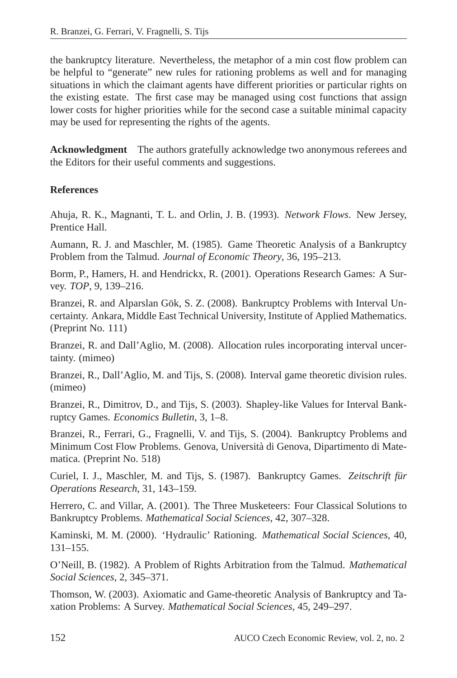the bankruptcy literature. Nevertheless, the metaphor of a min cost flow problem can be helpful to "generate" new rules for rationing problems as well and for managing situations in which the claimant agents have different priorities or particular rights on the existing estate. The first case may be managed using cost functions that assign lower costs for higher priorities while for the second case a suitable minimal capacity may be used for representing the rights of the agents.

**Acknowledgment** The authors gratefully acknowledge two anonymous referees and the Editors for their useful comments and suggestions.

#### **References**

Ahuja, R. K., Magnanti, T. L. and Orlin, J. B. (1993). *Network Flows*. New Jersey, Prentice Hall.

Aumann, R. J. and Maschler, M. (1985). Game Theoretic Analysis of a Bankruptcy Problem from the Talmud. *Journal of Economic Theory*, 36, 195–213.

Borm, P., Hamers, H. and Hendrickx, R. (2001). Operations Research Games: A Survey. *TOP*, 9, 139–216.

Branzei, R. and Alparslan Gök, S. Z. (2008). Bankruptcy Problems with Interval Uncertainty. Ankara, Middle East Technical University, Institute of Applied Mathematics. (Preprint No. 111)

Branzei, R. and Dall'Aglio, M. (2008). Allocation rules incorporating interval uncertainty. (mimeo)

Branzei, R., Dall'Aglio, M. and Tijs, S. (2008). Interval game theoretic division rules. (mimeo)

Branzei, R., Dimitrov, D., and Tijs, S. (2003). Shapley-like Values for Interval Bankruptcy Games. *Economics Bulletin*, 3, 1–8.

Branzei, R., Ferrari, G., Fragnelli, V. and Tijs, S. (2004). Bankruptcy Problems and Minimum Cost Flow Problems. Genova, Universita di Genova, Dipartimento di Mate- ` matica. (Preprint No. 518)

Curiel, I. J., Maschler, M. and Tijs, S. (1987). Bankruptcy Games. *Zeitschrift für Operations Research*, 31, 143–159.

Herrero, C. and Villar, A. (2001). The Three Musketeers: Four Classical Solutions to Bankruptcy Problems. *Mathematical Social Sciences*, 42, 307–328.

Kaminski, M. M. (2000). 'Hydraulic' Rationing. *Mathematical Social Sciences*, 40, 131–155.

O'Neill, B. (1982). A Problem of Rights Arbitration from the Talmud. *Mathematical Social Sciences*, 2, 345–371.

Thomson, W. (2003). Axiomatic and Game-theoretic Analysis of Bankruptcy and Taxation Problems: A Survey. *Mathematical Social Sciences*, 45, 249–297.